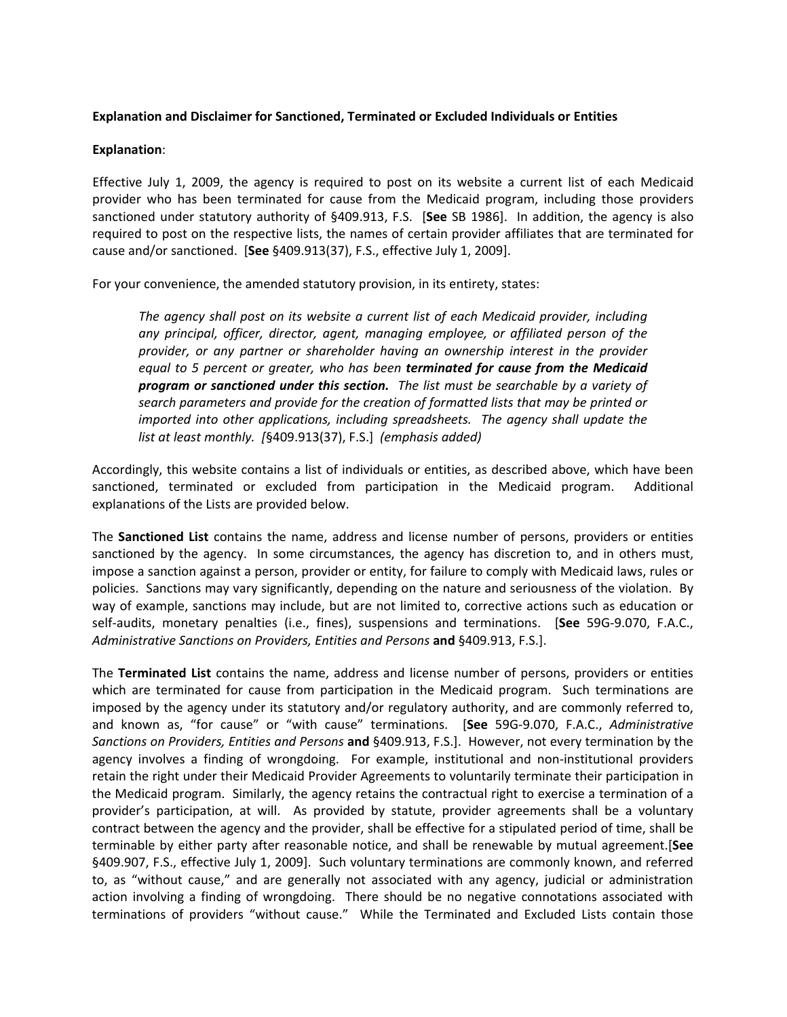## **Explanation and Disclaimer for Sanctioned, Terminated or Excluded Individuals or Entities**

## **Explanation**:

Effective July 1, 2009, the agency is required to post on its website a current list of each Medicaid provider who has been terminated for cause from the Medicaid program, including those providers sanctioned under statutory authority of §409.913, F.S. [**See** SB 1986]. In addition, the agency is also required to post on the respective lists, the names of certain provider affiliates that are terminated for cause and/or sanctioned. [**See** §409.913(37), F.S., effective July 1, 2009].

For your convenience, the amended statutory provision, in its entirety, states:

*The agency shall post on its website a current list of each Medicaid provider, including any principal, officer, director, agent, managing employee, or affiliated person of the provider, or any partner or shareholder having an ownership interest in the provider equal to 5 percent or greater, who has been terminated for cause from the Medicaid program or sanctioned under this section. The list must be searchable by a variety of search parameters and provide for the creation of formatted lists that may be printed or imported into other applications, including spreadsheets. The agency shall update the list at least monthly. [*§409.913(37), F.S.] *(emphasis added)*

Accordingly, this website contains a list of individuals or entities, as described above, which have been sanctioned, terminated or excluded from participation in the Medicaid program. Additional explanations of the Lists are provided below.

The **Sanctioned List** contains the name, address and license number of persons, providers or entities sanctioned by the agency. In some circumstances, the agency has discretion to, and in others must, impose a sanction against a person, provider or entity, for failure to comply with Medicaid laws, rules or policies. Sanctions may vary significantly, depending on the nature and seriousness of the violation. By way of example, sanctions may include, but are not limited to, corrective actions such as education or self‐audits, monetary penalties (i.e., fines), suspensions and terminations. [**See** 59G‐9.070, F.A.C., *Administrative Sanctions on Providers, Entities and Persons* **and** §409.913, F.S.].

The **Terminated List** contains the name, address and license number of persons, providers or entities which are terminated for cause from participation in the Medicaid program. Such terminations are imposed by the agency under its statutory and/or regulatory authority, and are commonly referred to, and known as, "for cause" or "with cause" terminations. [**See** 59G‐9.070, F.A.C., *Administrative Sanctions on Providers, Entities and Persons* **and** §409.913, F.S.]. However, not every termination by the agency involves a finding of wrongdoing. For example, institutional and non-institutional providers retain the right under their Medicaid Provider Agreements to voluntarily terminate their participation in the Medicaid program. Similarly, the agency retains the contractual right to exercise a termination of a provider's participation, at will. As provided by statute, provider agreements shall be a voluntary contract between the agency and the provider, shall be effective for a stipulated period of time, shall be terminable by either party after reasonable notice, and shall be renewable by mutual agreement.[**See** §409.907, F.S., effective July 1, 2009]. Such voluntary terminations are commonly known, and referred to, as "without cause," and are generally not associated with any agency, judicial or administration action involving a finding of wrongdoing. There should be no negative connotations associated with terminations of providers "without cause." While the Terminated and Excluded Lists contain those